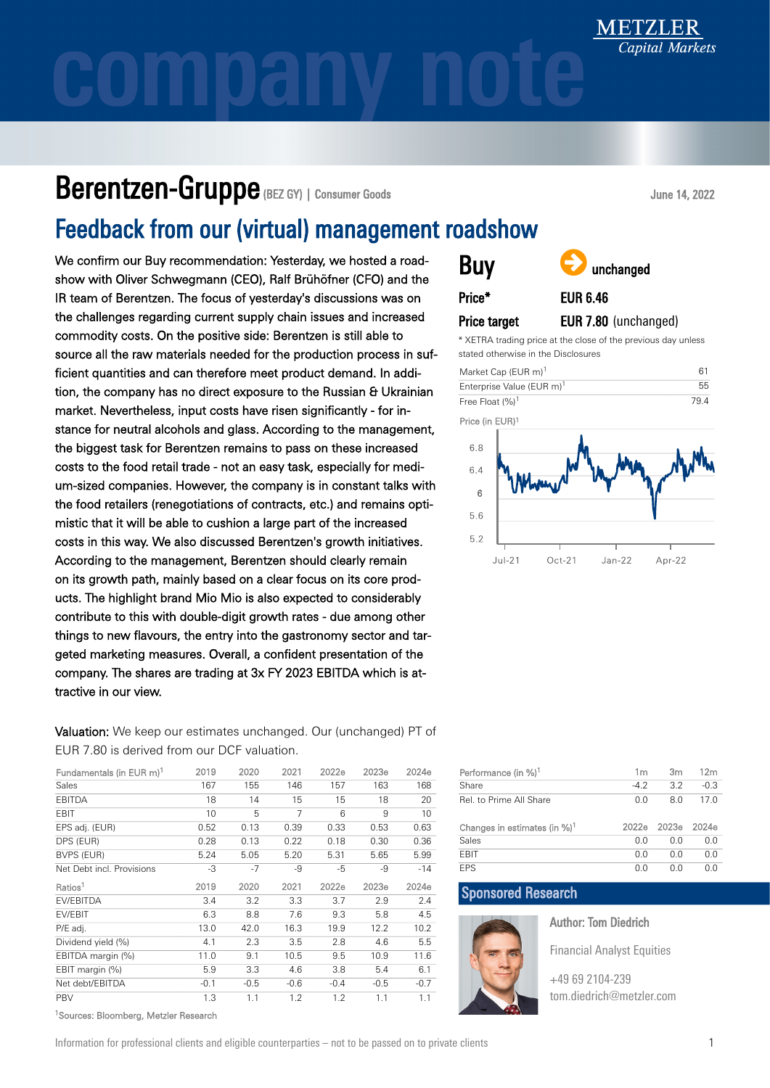### Berentzen-Gruppe (BEZ GY) | Consumer Goods

### Feedback from our (virtual) management roadshow

We confirm our Buy recommendation: Yesterday, we hosted a roadshow with Oliver Schwegmann (CEO), Ralf Brühöfner (CFO) and the IR team of Berentzen. The focus of yesterday's discussions was on the challenges regarding current supply chain issues and increased commodity costs. On the positive side: Berentzen is still able to source all the raw materials needed for the production process in sufficient quantities and can therefore meet product demand. In addition, the company has no direct exposure to the Russian & Ukrainian market. Nevertheless, input costs have risen significantly - for instance for neutral alcohols and glass. According to the management, the biggest task for Berentzen remains to pass on these increased costs to the food retail trade - not an easy task, especially for medium-sized companies. However, the company is in constant talks with the food retailers (renegotiations of contracts, etc.) and remains optimistic that it will be able to cushion a large part of the increased costs in this way. We also discussed Berentzen's growth initiatives. According to the management, Berentzen should clearly remain on its growth path, mainly based on a clear focus on its core products. The highlight brand Mio Mio is also expected to considerably contribute to this with double-digit growth rates - due among other things to new flavours, the entry into the gastronomy sector and targeted marketing measures. Overall, a confident presentation of the company. The shares are trading at 3x FY 2023 EBITDA which is attractive in our view.

Valuation: We keep our estimates unchanged. Our (unchanged) PT of EUR 7.80 is derived from our DCF valuation.

| Fundamentals (in EUR m) <sup>1</sup> | 2019   | 2020   | 2021   | 2022e  | 2023e  | 2024e  |
|--------------------------------------|--------|--------|--------|--------|--------|--------|
| Sales                                | 167    | 155    | 146    | 157    | 163    | 168    |
| <b>EBITDA</b>                        | 18     | 14     | 15     | 15     | 18     | 20     |
| EBIT                                 | 10     | 5      | 7      | 6      | 9      | 10     |
| EPS adj. (EUR)                       | 0.52   | 0.13   | 0.39   | 0.33   | 0.53   | 0.63   |
| DPS (EUR)                            | 0.28   | 0.13   | 0.22   | 0.18   | 0.30   | 0.36   |
| <b>BVPS (EUR)</b>                    | 5.24   | 5.05   | 5.20   | 5.31   | 5.65   | 5.99   |
| Net Debt incl. Provisions            | -3     | $-7$   | -9     | -5     | -9     | $-14$  |
| Ratios <sup>1</sup>                  | 2019   | 2020   | 2021   | 2022e  | 2023e  | 2024e  |
| <b>FV/FBITDA</b>                     | 3.4    | 3.2    | 3.3    | 3.7    | 2.9    | 2.4    |
| EV/EBIT                              | 6.3    | 8.8    | 7.6    | 9.3    | 5.8    | 4.5    |
| P/E adj.                             | 13.0   | 42.0   | 16.3   | 19.9   | 12.2   | 10.2   |
| Dividend yield (%)                   | 4.1    | 2.3    | 3.5    | 2.8    | 4.6    | 5.5    |
| EBITDA margin (%)                    | 11.0   | 9.1    | 10.5   | 9.5    | 10.9   | 11.6   |
| EBIT margin (%)                      | 5.9    | 3.3    | 4.6    | 3.8    | 5.4    | 6.1    |
| Net debt/EBITDA                      | $-0.1$ | $-0.5$ | $-0.6$ | $-0.4$ | $-0.5$ | $-0.7$ |
| <b>PBV</b>                           | 1.3    | 1.1    | 1.2    | 1.2    | 1.1    | 1.1    |

<sup>1</sup>Sources: Bloomberg, Metzler Research

### June 14, 2022

| <b>Buy</b> |  |
|------------|--|
| Price*     |  |

Price target



EUR 6.46

### EUR 7.80 (unchanged)

\* XETRA trading price at the close of the previous day unless stated otherwise in the Disclosures



| Performance (in %) <sup>1</sup>          | 1m     | 3m                | 12 <sub>m</sub> |
|------------------------------------------|--------|-------------------|-----------------|
| Share                                    | $-4.2$ | 3.2               | $-0.3$          |
| Rel. to Prime All Share                  | 0.0    | 8.0               | 17.0            |
| Changes in estimates (in %) <sup>1</sup> | 2022e  | 2023 <sub>e</sub> | 2024e           |
| Sales                                    | 0.0    | 0.0               | 0.0             |
| <b>FBIT</b>                              | 0.0    | 0.0               | 0.0             |
| <b>FPS</b>                               | 0.0    | 0.0               | 0.0             |

### Sponsored Research

Author: Tom Diedrich

Financial Analyst Equities

[+49 69 2104-239](tel:+49692104239) [tom.diedrich@metzler.com](mailto:tom.diedrich@metzler.com)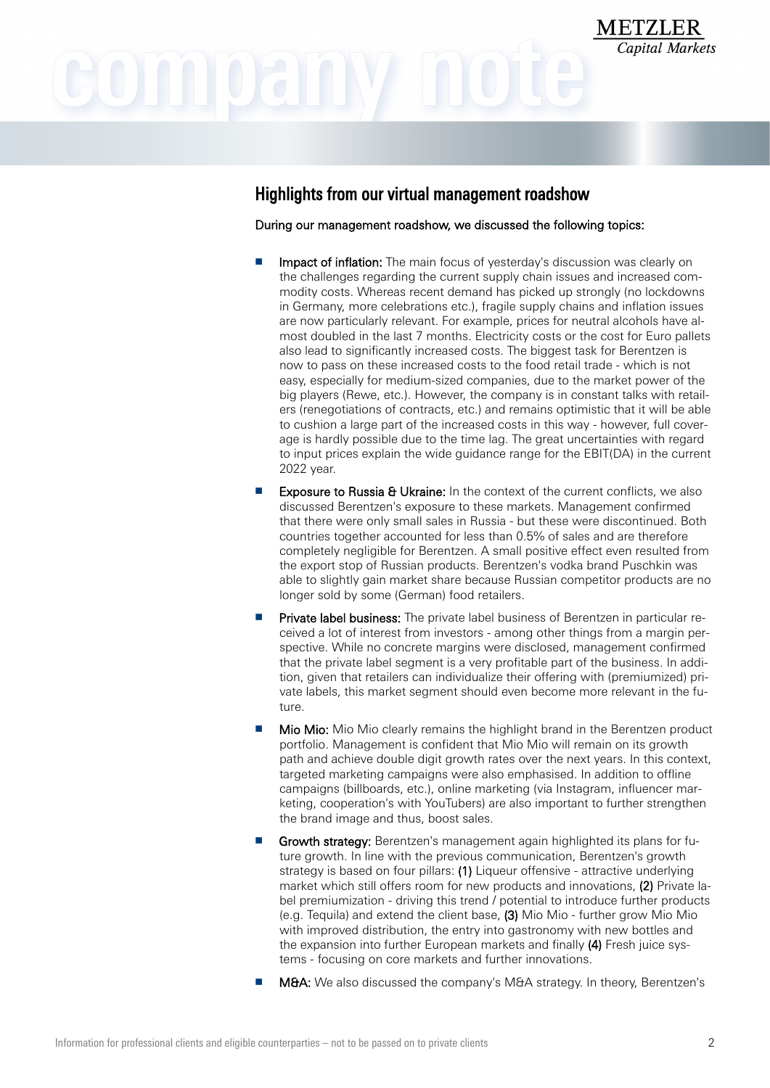### Highlights from our virtual management roadshow

During our management roadshow, we discussed the following topics:

- Impact of inflation: The main focus of yesterday's discussion was clearly on the challenges regarding the current supply chain issues and increased commodity costs. Whereas recent demand has picked up strongly (no lockdowns in Germany, more celebrations etc.), fragile supply chains and inflation issues are now particularly relevant. For example, prices for neutral alcohols have almost doubled in the last 7 months. Electricity costs or the cost for Euro pallets also lead to significantly increased costs. The biggest task for Berentzen is now to pass on these increased costs to the food retail trade - which is not easy, especially for medium-sized companies, due to the market power of the big players (Rewe, etc.). However, the company is in constant talks with retailers (renegotiations of contracts, etc.) and remains optimistic that it will be able to cushion a large part of the increased costs in this way - however, full coverage is hardly possible due to the time lag. The great uncertainties with regard to input prices explain the wide guidance range for the EBIT(DA) in the current 2022 year.
- **Exposure to Russia & Ukraine:** In the context of the current conflicts, we also discussed Berentzen's exposure to these markets. Management confirmed that there were only small sales in Russia - but these were discontinued. Both countries together accounted for less than 0.5% of sales and are therefore completely negligible for Berentzen. A small positive effect even resulted from the export stop of Russian products. Berentzen's vodka brand Puschkin was able to slightly gain market share because Russian competitor products are no longer sold by some (German) food retailers.
- Private label business: The private label business of Berentzen in particular received a lot of interest from investors - among other things from a margin perspective. While no concrete margins were disclosed, management confirmed that the private label segment is a very profitable part of the business. In addition, given that retailers can individualize their offering with (premiumized) private labels, this market segment should even become more relevant in the future.
- Mio Mio: Mio Mio clearly remains the highlight brand in the Berentzen product portfolio. Management is confident that Mio Mio will remain on its growth path and achieve double digit growth rates over the next years. In this context, targeted marketing campaigns were also emphasised. In addition to offline campaigns (billboards, etc.), online marketing (via Instagram, influencer marketing, cooperation's with YouTubers) are also important to further strengthen the brand image and thus, boost sales.
- Growth strategy: Berentzen's management again highlighted its plans for future growth. In line with the previous communication, Berentzen's growth strategy is based on four pillars: (1) Liqueur offensive - attractive underlying market which still offers room for new products and innovations, (2) Private label premiumization - driving this trend / potential to introduce further products (e.g. Tequila) and extend the client base, (3) Mio Mio - further grow Mio Mio with improved distribution, the entry into gastronomy with new bottles and the expansion into further European markets and finally (4) Fresh juice systems - focusing on core markets and further innovations.
- M&A: We also discussed the company's M&A strategy. In theory, Berentzen's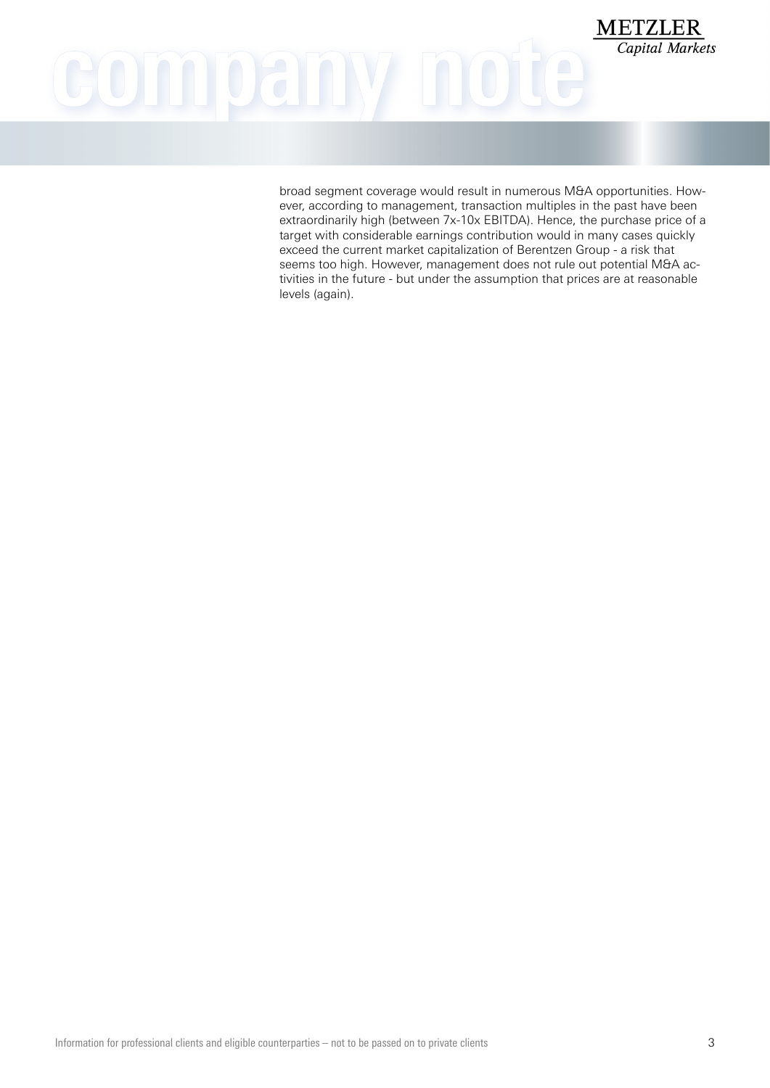## **METZLER** COMMOAM

broad segment coverage would result in numerous M&A opportunities. However, according to management, transaction multiples in the past have been extraordinarily high (between 7x-10x EBITDA). Hence, the purchase price of a target with considerable earnings contribution would in many cases quickly exceed the current market capitalization of Berentzen Group - a risk that seems too high. However, management does not rule out potential M&A activities in the future - but under the assumption that prices are at reasonable levels (again).

Capital Markets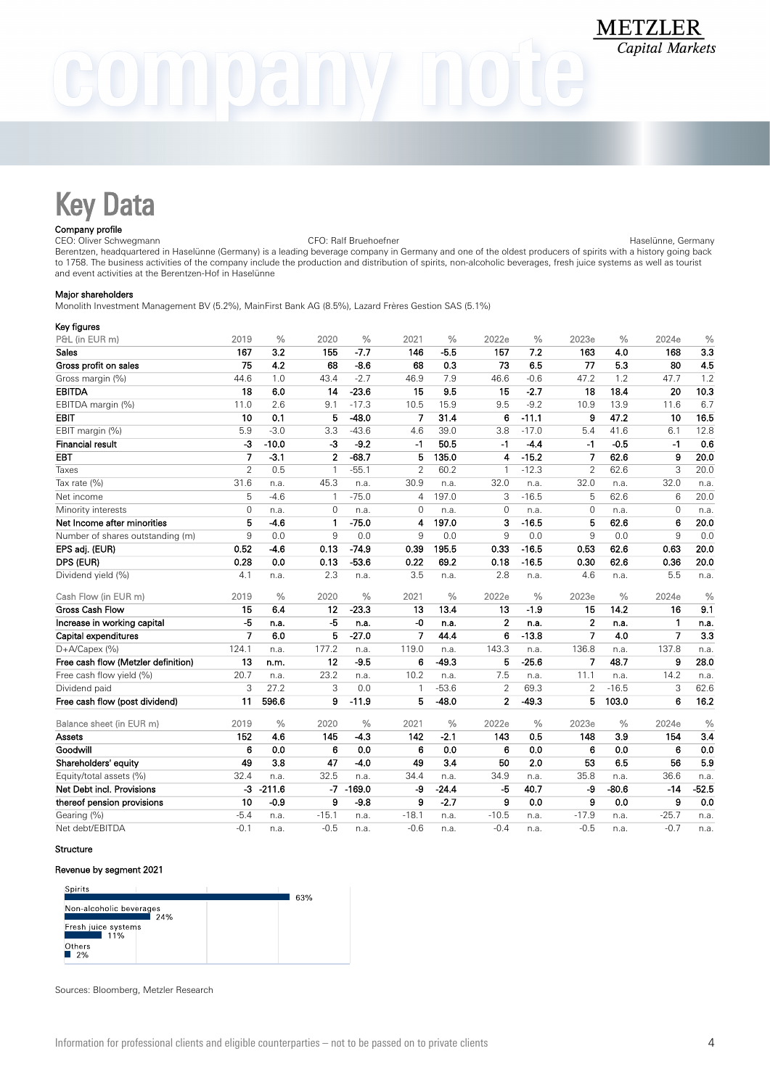# $0$ ali N

## Key Data

### Company profile

CEO: Oliver Schwegmann CFO: Ralf Bruehoefner Haselünne, Germany Berentzen, headquartered in Haselünne (Germany) is a leading beverage company in Germany and one of the oldest producers of spirits with a history going back to 1758. The business activities of the company include the production and distribution of spirits, non-alcoholic beverages, fresh juice systems as well as tourist and event activities at the Berentzen-Hof in Haselünne

### Major shareholders

Monolith Investment Management BV (5.2%), MainFirst Bank AG (8.5%), Lazard Frères Gestion SAS (5.1%)

| Key figures                         |                |               |                |               |                |               |                |               |                |               |                |               |
|-------------------------------------|----------------|---------------|----------------|---------------|----------------|---------------|----------------|---------------|----------------|---------------|----------------|---------------|
| P&L (in EUR m)                      | 2019           | $\frac{0}{0}$ | 2020           | $\frac{0}{0}$ | 2021           | $\frac{0}{0}$ | 2022e          | $\frac{0}{0}$ | 2023e          | $\frac{0}{0}$ | 2024e          | $\frac{0}{0}$ |
| Sales                               | 167            | 3.2           | 155            | $-7.7$        | 146            | $-5.5$        | 157            | 7.2           | 163            | 4.0           | 168            | 3.3           |
| Gross profit on sales               | 75             | 4.2           | 68             | $-8.6$        | 68             | 0.3           | 73             | 6.5           | 77             | 5.3           | 80             | 4.5           |
| Gross margin (%)                    | 44.6           | 1.0           | 43.4           | $-2.7$        | 46.9           | 7.9           | 46.6           | $-0.6$        | 47.2           | 1.2           | 47.7           | 1.2           |
| <b>EBITDA</b>                       | 18             | 6.0           | 14             | $-23.6$       | 15             | 9.5           | 15             | $-2.7$        | 18             | 18.4          | 20             | 10.3          |
| EBITDA margin (%)                   | 11.0           | 2.6           | 9.1            | $-17.3$       | 10.5           | 15.9          | 9.5            | $-9.2$        | 10.9           | 13.9          | 11.6           | 6.7           |
| <b>EBIT</b>                         | 10             | 0.1           | 5              | $-48.0$       | 7              | 31.4          | 6              | $-11.1$       | 9              | 47.2          | 10             | 16.5          |
| EBIT margin (%)                     | 5.9            | $-3.0$        | 3.3            | $-43.6$       | 4.6            | 39.0          | 3.8            | $-17.0$       | 5.4            | 41.6          | 6.1            | 12.8          |
| <b>Financial result</b>             | $-3$           | $-10.0$       | $-3$           | $-9.2$        | $-1$           | 50.5          | $-1$           | $-4.4$        | $-1$           | $-0.5$        | $-1$           | 0.6           |
| <b>EBT</b>                          | $\overline{7}$ | $-3.1$        | $\overline{2}$ | $-68.7$       | 5              | 135.0         | 4              | $-15.2$       | $\overline{7}$ | 62.6          | 9              | 20.0          |
| Taxes                               | $\overline{2}$ | 0.5           | $\overline{1}$ | $-55.1$       | $\overline{2}$ | 60.2          | 1              | $-12.3$       | $\overline{2}$ | 62.6          | 3              | 20.0          |
| Tax rate (%)                        | 31.6           | n.a.          | 45.3           | n.a.          | 30.9           | n.a.          | 32.0           | n.a.          | 32.0           | n.a.          | 32.0           | n.a.          |
| Net income                          | 5              | $-4.6$        | $\mathbf{1}$   | $-75.0$       | 4              | 197.0         | 3              | $-16.5$       | 5              | 62.6          | 6              | 20.0          |
| Minority interests                  | $\Omega$       | n.a.          | $\Omega$       | n.a.          | $\Omega$       | n.a.          | $\Omega$       | n.a.          | $\mathbf{0}$   | n.a.          | $\Omega$       | n.a.          |
| Net Income after minorities         | $\overline{5}$ | $-4.6$        | 1              | $-75.0$       | 4              | 197.0         | 3              | $-16.5$       | 5              | 62.6          | 6              | 20.0          |
| Number of shares outstanding (m)    | 9              | 0.0           | 9              | 0.0           | 9              | 0.0           | 9              | 0.0           | 9              | 0.0           | 9              | 0.0           |
| EPS adj. (EUR)                      | 0.52           | $-4.6$        | 0.13           | $-74.9$       | 0.39           | 195.5         | 0.33           | $-16.5$       | 0.53           | 62.6          | 0.63           | 20.0          |
| DPS (EUR)                           | 0.28           | 0.0           | 0.13           | $-53.6$       | 0.22           | 69.2          | 0.18           | $-16.5$       | 0.30           | 62.6          | 0.36           | 20.0          |
| Dividend yield (%)                  | 4.1            | n.a.          | 2.3            | n.a.          | 3.5            | n.a.          | 2.8            | n.a.          | 4.6            | n.a.          | 5.5            | n.a.          |
| Cash Flow (in EUR m)                | 2019           | $\frac{0}{0}$ | 2020           | $\frac{0}{0}$ | 2021           | $\frac{0}{0}$ | 2022e          | $\frac{0}{0}$ | 2023e          | $\frac{0}{0}$ | 2024e          | $\frac{0}{0}$ |
| <b>Gross Cash Flow</b>              | 15             | 6.4           | 12             | $-23.3$       | 13             | 13.4          | 13             | $-1.9$        | 15             | 14.2          | 16             | 9.1           |
| Increase in working capital         | $-5$           | n.a.          | $-5$           | n.a.          | -0             | n.a.          | $\overline{2}$ | n.a.          | $\mathbf 2$    | n.a.          | 1              | n.a.          |
| Capital expenditures                | 7              | 6.0           | 5              | $-27.0$       | 7              | 44.4          | 6              | $-13.8$       | 7              | 4.0           | $\overline{7}$ | 3.3           |
| D+A/Capex (%)                       | 124.1          | n.a.          | 177.2          | n.a.          | 119.0          | n.a.          | 143.3          | n.a.          | 136.8          | n.a.          | 137.8          | n.a.          |
| Free cash flow (Metzler definition) | 13             | n.m.          | 12             | $-9.5$        | 6              | $-49.3$       | 5              | $-25.6$       | $\overline{7}$ | 48.7          | 9              | 28.0          |
| Free cash flow yield (%)            | 20.7           | n.a.          | 23.2           | n.a.          | 10.2           | n.a.          | 7.5            | n.a.          | 11.1           | n.a.          | 14.2           | n.a.          |
| Dividend paid                       | 3              | 27.2          | 3              | 0.0           | $\mathbf{1}$   | $-53.6$       | $\overline{2}$ | 69.3          | $\overline{2}$ | $-16.5$       | 3              | 62.6          |
| Free cash flow (post dividend)      | 11             | 596.6         | 9              | $-11.9$       | 5              | $-48.0$       | $\overline{2}$ | $-49.3$       | 5              | 103.0         | 6              | 16.2          |
| Balance sheet (in EUR m)            | 2019           | $\frac{0}{0}$ | 2020           | $\frac{0}{0}$ | 2021           | $\frac{0}{0}$ | 2022e          | $\frac{0}{0}$ | 2023e          | $\frac{0}{0}$ | 2024e          | $\frac{0}{0}$ |
| Assets                              | 152            | 4.6           | 145            | $-4.3$        | 142            | $-2.1$        | 143            | 0.5           | 148            | 3.9           | 154            | 3.4           |
| Goodwill                            | 6              | 0.0           | 6              | 0.0           | 6              | 0.0           | 6              | 0.0           | 6              | 0.0           | 6              | 0.0           |
| Shareholders' equity                | 49             | 3.8           | 47             | $-4.0$        | 49             | 3.4           | 50             | 2.0           | 53             | 6.5           | 56             | 5.9           |
| Equity/total assets (%)             | 32.4           | n.a.          | 32.5           | n.a.          | 34.4           | n.a.          | 34.9           | n.a.          | 35.8           | n.a.          | 36.6           | n.a.          |
| Net Debt incl. Provisions           | $-3$           | $-211.6$      | $-7$           | $-169.0$      | -9             | $-24.4$       | $-5$           | 40.7          | -9             | $-80.6$       | $-14$          | $-52.5$       |
| thereof pension provisions          | 10             | $-0.9$        | 9              | $-9.8$        | 9              | $-2.7$        | 9              | 0.0           | 9              | 0.0           | 9              | 0.0           |
| Gearing (%)                         | $-5.4$         | n.a.          | $-15.1$        | n.a.          | $-18.1$        | n.a.          | $-10.5$        | n.a.          | $-17.9$        | n.a.          | $-25.7$        | n.a.          |
| Net debt/EBITDA                     | $-0.1$         | n.a.          | $-0.5$         | n.a.          | $-0.6$         | n.a.          | $-0.4$         | n.a.          | $-0.5$         | n.a.          | $-0.7$         | n.a.          |

### Structure

### Revenue by segment 2021

| Spirits                        |     |
|--------------------------------|-----|
|                                | 63% |
| Non-alcoholic beverages<br>24% |     |
| Fresh juice systems<br>11%     |     |
| Others<br>2%                   |     |

Sources: Bloomberg, Metzler Research

**METZLER Capital Markets**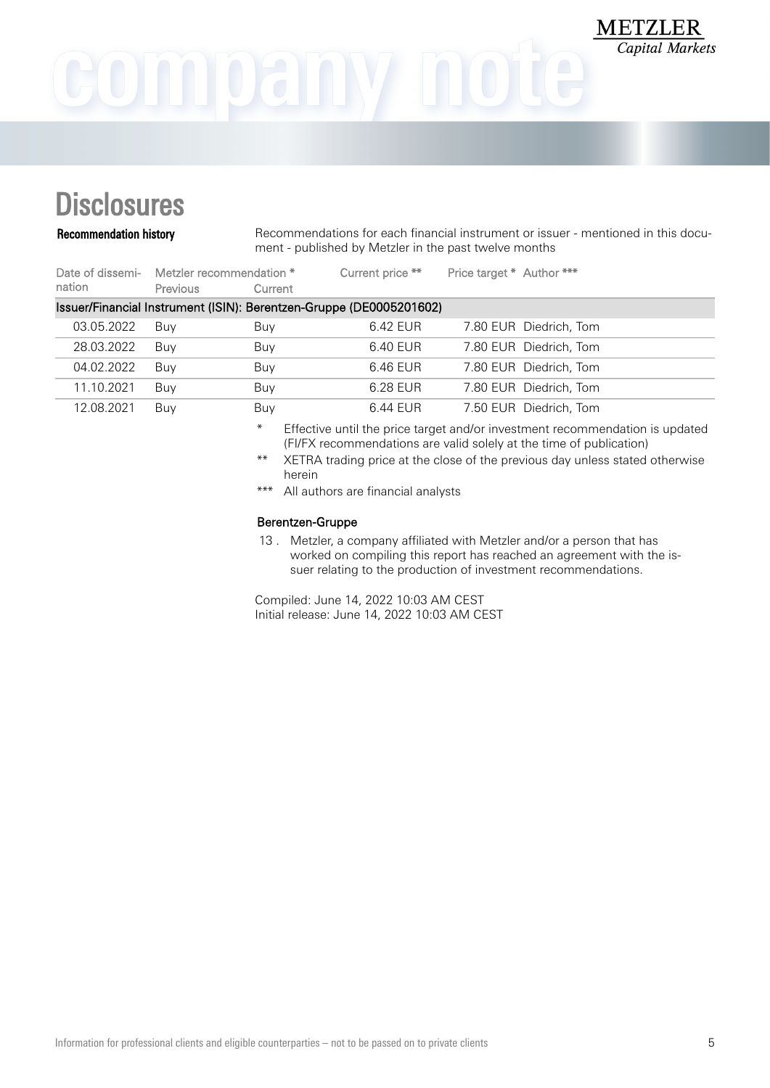### **Disclosures**

Recommendation history Recommendations for each financial instrument or issuer - mentioned in this document - published by Metzler in the past twelve months

**METZLER** 

**Capital Markets** 

| nation     | Date of dissemi- Metzler recommendation *<br><b>Previous</b> | Current | Current price **                                                    | Price target * Author *** |                        |
|------------|--------------------------------------------------------------|---------|---------------------------------------------------------------------|---------------------------|------------------------|
|            |                                                              |         | Issuer/Financial Instrument (ISIN): Berentzen-Gruppe (DE0005201602) |                           |                        |
| 03.05.2022 | Buv                                                          | Buy     | 6.42 EUR                                                            |                           | 7.80 EUR Diedrich, Tom |
| 28.03.2022 | Buv                                                          | Buy     | 6.40 EUR                                                            |                           | 7.80 EUR Diedrich, Tom |
| 04.02.2022 | Buv                                                          | Buy     | 6.46 EUR                                                            |                           | 7.80 EUR Diedrich, Tom |
| 11.10.2021 | Buy                                                          | Buy     | 6.28 EUR                                                            |                           | 7.80 EUR Diedrich, Tom |
| 12.08.2021 | Buy                                                          | Buy     | 6.44 EUR                                                            |                           | 7.50 EUR Diedrich, Tom |

\* Effective until the price target and/or investment recommendation is updated (FI/FX recommendations are valid solely at the time of publication)

\*\* XETRA trading price at the close of the previous day unless stated otherwise herein

\*\*\* All authors are financial analysts

### Berentzen-Gruppe

13 . Metzler, a company affiliated with Metzler and/or a person that has worked on compiling this report has reached an agreement with the issuer relating to the production of investment recommendations.

Compiled: June 14, 2022 10:03 AM CEST Initial release: June 14, 2022 10:03 AM CEST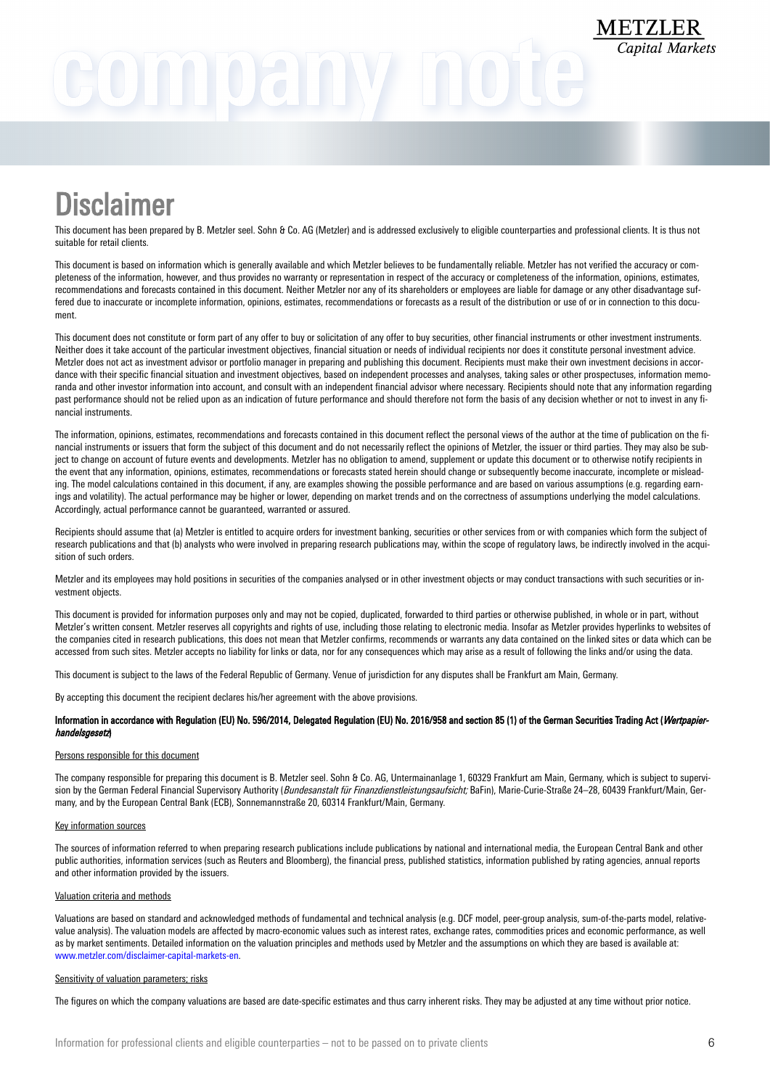# GOMNOANY NOU

## **Disclaimer**

This document has been prepared by B. Metzler seel. Sohn & Co. AG (Metzler) and is addressed exclusively to eligible counterparties and professional clients. It is thus not suitable for retail clients.

This document is based on information which is generally available and which Metzler believes to be fundamentally reliable. Metzler has not verified the accuracy or completeness of the information, however, and thus provides no warranty or representation in respect of the accuracy or completeness of the information, opinions, estimates, recommendations and forecasts contained in this document. Neither Metzler nor any of its shareholders or employees are liable for damage or any other disadvantage suffered due to inaccurate or incomplete information, opinions, estimates, recommendations or forecasts as a result of the distribution or use of or in connection to this document.

This document does not constitute or form part of any offer to buy or solicitation of any offer to buy securities, other financial instruments or other investment instruments. Neither does it take account of the particular investment objectives, financial situation or needs of individual recipients nor does it constitute personal investment advice. Metzler does not act as investment advisor or portfolio manager in preparing and publishing this document. Recipients must make their own investment decisions in accordance with their specific financial situation and investment objectives, based on independent processes and analyses, taking sales or other prospectuses, information memoranda and other investor information into account, and consult with an independent financial advisor where necessary. Recipients should note that any information regarding past performance should not be relied upon as an indication of future performance and should therefore not form the basis of any decision whether or not to invest in any financial instruments.

The information, opinions, estimates, recommendations and forecasts contained in this document reflect the personal views of the author at the time of publication on the financial instruments or issuers that form the subject of this document and do not necessarily reflect the opinions of Metzler, the issuer or third parties. They may also be subject to change on account of future events and developments. Metzler has no obligation to amend, supplement or update this document or to otherwise notify recipients in the event that any information, opinions, estimates, recommendations or forecasts stated herein should change or subsequently become inaccurate, incomplete or misleading. The model calculations contained in this document, if any, are examples showing the possible performance and are based on various assumptions (e.g. regarding earnings and volatility). The actual performance may be higher or lower, depending on market trends and on the correctness of assumptions underlying the model calculations. Accordingly, actual performance cannot be guaranteed, warranted or assured.

Recipients should assume that (a) Metzler is entitled to acquire orders for investment banking, securities or other services from or with companies which form the subject of research publications and that (b) analysts who were involved in preparing research publications may, within the scope of regulatory laws, be indirectly involved in the acquisition of such orders.

Metzler and its employees may hold positions in securities of the companies analysed or in other investment objects or may conduct transactions with such securities or investment objects.

This document is provided for information purposes only and may not be copied, duplicated, forwarded to third parties or otherwise published, in whole or in part, without Metzler's written consent. Metzler reserves all copyrights and rights of use, including those relating to electronic media. Insofar as Metzler provides hyperlinks to websites of the companies cited in research publications, this does not mean that Metzler confirms, recommends or warrants any data contained on the linked sites or data which can be accessed from such sites. Metzler accepts no liability for links or data, nor for any consequences which may arise as a result of following the links and/or using the data.

This document is subject to the laws of the Federal Republic of Germany. Venue of jurisdiction for any disputes shall be Frankfurt am Main, Germany.

By accepting this document the recipient declares his/her agreement with the above provisions.

### Information in accordance with Regulation (EU) No. 596/2014, Delegated Regulation (EU) No. 2016/958 and section 85 (1) of the German Securities Trading Act (Wertpapierhandelsgesetz)

### Persons responsible for this document

The company responsible for preparing this document is B. Metzler seel. Sohn & Co. AG, Untermainanlage 1, 60329 Frankfurt am Main, Germany, which is subject to supervision by the German Federal Financial Supervisory Authority (Bundesanstalt für Finanzdienstleistungsaufsicht; BaFin), Marie-Curie-Straße 24-28, 60439 Frankfurt/Main, Germany, and by the European Central Bank (ECB), Sonnemannstraße 20, 60314 Frankfurt/Main, Germany.

### Key information sources

The sources of information referred to when preparing research publications include publications by national and international media, the European Central Bank and other public authorities, information services (such as Reuters and Bloomberg), the financial press, published statistics, information published by rating agencies, annual reports and other information provided by the issuers.

### Valuation criteria and methods

Valuations are based on standard and acknowledged methods of fundamental and technical analysis (e.g. DCF model, peer-group analysis, sum-of-the-parts model, relativevalue analysis). The valuation models are affected by macro-economic values such as interest rates, exchange rates, commodities prices and economic performance, as well as by market sentiments. Detailed information on the valuation principles and methods used by Metzler and the assumptions on which they are based is available at: [www.metzler.com/disclaimer-capital-markets-en](http://www.metzler.com/disclaimer-capital-markets-en).

### Sensitivity of valuation parameters; risks

The figures on which the company valuations are based are date-specific estimates and thus carry inherent risks. They may be adjusted at any time without prior notice.

**METZLER**<br>Capital Markets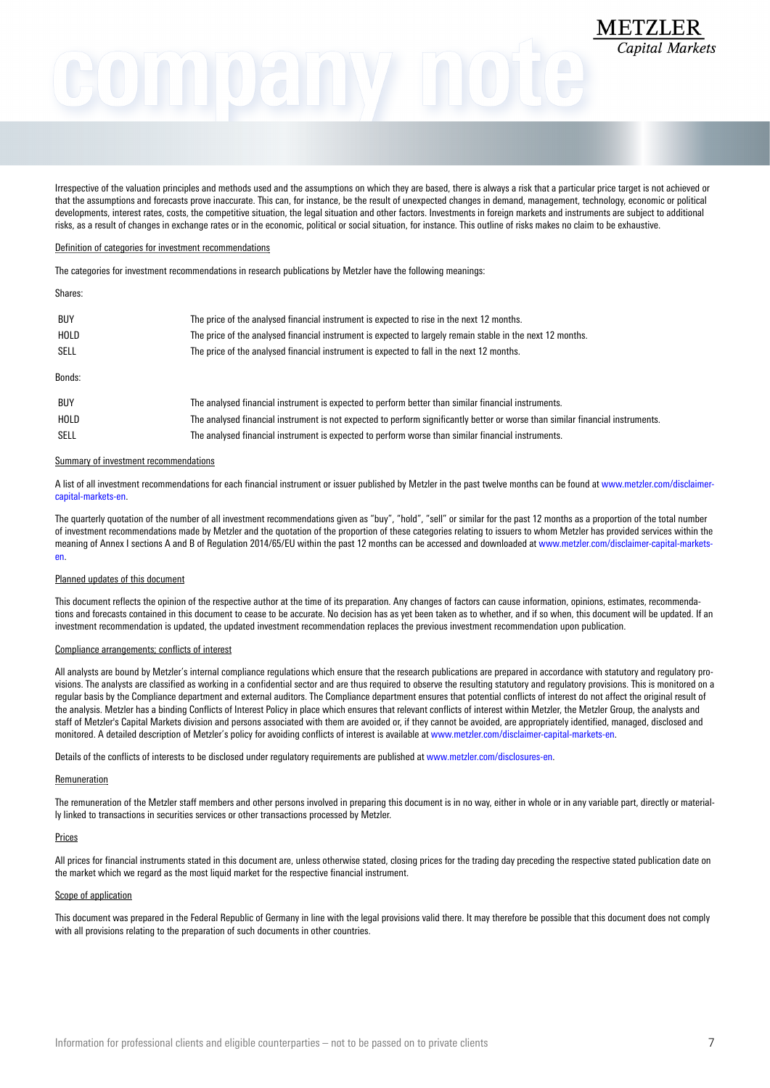# METZLER

Irrespective of the valuation principles and methods used and the assumptions on which they are based, there is always a risk that a particular price target is not achieved or that the assumptions and forecasts prove inaccurate. This can, for instance, be the result of unexpected changes in demand, management, technology, economic or political developments, interest rates, costs, the competitive situation, the legal situation and other factors. Investments in foreign markets and instruments are subject to additional risks, as a result of changes in exchange rates or in the economic, political or social situation, for instance. This outline of risks makes no claim to be exhaustive.

### Definition of categories for investment recommendations

The categories for investment recommendations in research publications by Metzler have the following meanings:

### Shares:

| <b>BUY</b><br>HOLD<br>SELL | The price of the analysed financial instrument is expected to rise in the next 12 months.<br>The price of the analysed financial instrument is expected to largely remain stable in the next 12 months.<br>The price of the analysed financial instrument is expected to fall in the next 12 months. |
|----------------------------|------------------------------------------------------------------------------------------------------------------------------------------------------------------------------------------------------------------------------------------------------------------------------------------------------|
| Bonds:                     |                                                                                                                                                                                                                                                                                                      |
| <b>BUY</b>                 | The analysed financial instrument is expected to perform better than similar financial instruments.                                                                                                                                                                                                  |
| HOLD                       | The analysed financial instrument is not expected to perform significantly better or worse than similar financial instruments.                                                                                                                                                                       |
| <b>SELL</b>                | The analysed financial instrument is expected to perform worse than similar financial instruments.                                                                                                                                                                                                   |

#### Summary of investment recommendations

A list of all investment recommendations for each financial instrument or issuer published by Metzler in the past twelve months can be found at [www.metzler.com/disclaimer](http://www.metzler.com/disclaimer-capital-markets-en)[capital-markets-en](http://www.metzler.com/disclaimer-capital-markets-en).

The quarterly quotation of the number of all investment recommendations given as "buy", "hold", "sell" or similar for the past 12 months as a proportion of the total number of investment recommendations made by Metzler and the quotation of the proportion of these categories relating to issuers to whom Metzler has provided services within the meaning of Annex I sections A and B of Regulation 2014/65/EU within the past 12 months can be accessed and downloaded at [www.metzler.com/disclaimer-capital-markets](http://www.metzler.com/disclaimer-capital-markets-en)[en.](http://www.metzler.com/disclaimer-capital-markets-en)

### Planned updates of this document

This document reflects the opinion of the respective author at the time of its preparation. Any changes of factors can cause information, opinions, estimates, recommendations and forecasts contained in this document to cease to be accurate. No decision has as yet been taken as to whether, and if so when, this document will be updated. If an investment recommendation is updated, the updated investment recommendation replaces the previous investment recommendation upon publication.

### Compliance arrangements; conflicts of interest

All analysts are bound by Metzler's internal compliance regulations which ensure that the research publications are prepared in accordance with statutory and regulatory provisions. The analysts are classified as working in a confidential sector and are thus required to observe the resulting statutory and regulatory provisions. This is monitored on a regular basis by the Compliance department and external auditors. The Compliance department ensures that potential conflicts of interest do not affect the original result of the analysis. Metzler has a binding Conflicts of Interest Policy in place which ensures that relevant conflicts of interest within Metzler, the Metzler Group, the analysts and staff of Metzler's Capital Markets division and persons associated with them are avoided or, if they cannot be avoided, are appropriately identified, managed, disclosed and monitored. A detailed description of Metzler's policy for avoiding conflicts of interest is available at [www.metzler.com/disclaimer-capital-markets-en](http://www.metzler.com/disclaimer-capital-markets-en).

Details of the conflicts of interests to be disclosed under regulatory requirements are published at [www.metzler.com/disclosures-en](http://www.metzler.com/disclosures-en).

#### Remuneration

The remuneration of the Metzler staff members and other persons involved in preparing this document is in no way, either in whole or in any variable part, directly or materially linked to transactions in securities services or other transactions processed by Metzler.

#### Prices

All prices for financial instruments stated in this document are, unless otherwise stated, closing prices for the trading day preceding the respective stated publication date on the market which we regard as the most liquid market for the respective financial instrument.

### Scope of application

This document was prepared in the Federal Republic of Germany in line with the legal provisions valid there. It may therefore be possible that this document does not comply with all provisions relating to the preparation of such documents in other countries.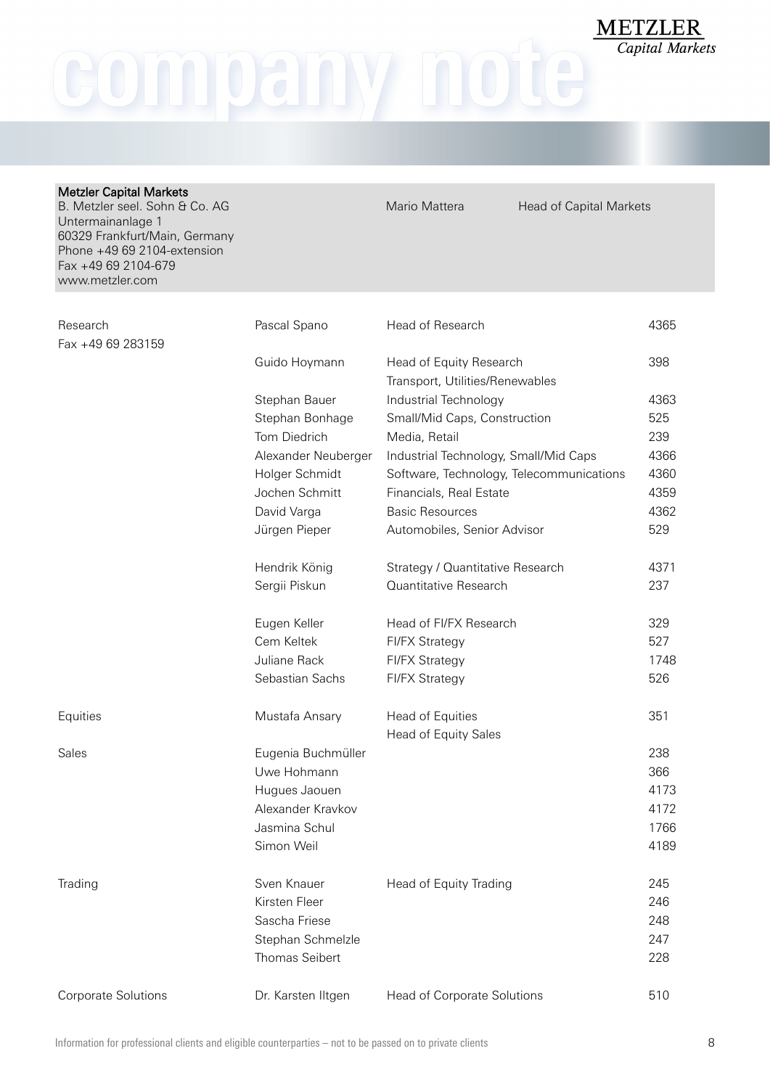company note

| <b>Metzler Capital Markets</b><br>B. Metzler seel. Sohn & Co. AG<br>Untermainanlage 1<br>60329 Frankfurt/Main, Germany<br>Phone +49 69 2104-extension<br>Fax +49 69 2104-679<br>www.metzler.com |                     | Mario Mattera<br><b>Head of Capital Markets</b>            |      |
|-------------------------------------------------------------------------------------------------------------------------------------------------------------------------------------------------|---------------------|------------------------------------------------------------|------|
| Research                                                                                                                                                                                        | Pascal Spano        | Head of Research                                           | 4365 |
| Fax +49 69 283159                                                                                                                                                                               |                     |                                                            |      |
|                                                                                                                                                                                                 | Guido Hoymann       | Head of Equity Research<br>Transport, Utilities/Renewables | 398  |
|                                                                                                                                                                                                 | Stephan Bauer       | Industrial Technology                                      | 4363 |
|                                                                                                                                                                                                 | Stephan Bonhage     | Small/Mid Caps, Construction                               | 525  |
|                                                                                                                                                                                                 | Tom Diedrich        | Media, Retail                                              | 239  |
|                                                                                                                                                                                                 | Alexander Neuberger | Industrial Technology, Small/Mid Caps                      | 4366 |
|                                                                                                                                                                                                 | Holger Schmidt      | Software, Technology, Telecommunications                   | 4360 |
|                                                                                                                                                                                                 | Jochen Schmitt      | Financials, Real Estate                                    | 4359 |
|                                                                                                                                                                                                 | David Varga         | <b>Basic Resources</b>                                     | 4362 |
|                                                                                                                                                                                                 | Jürgen Pieper       | Automobiles, Senior Advisor                                | 529  |
|                                                                                                                                                                                                 | Hendrik König       | Strategy / Quantitative Research                           | 4371 |
|                                                                                                                                                                                                 | Sergii Piskun       | Quantitative Research                                      | 237  |
|                                                                                                                                                                                                 | Eugen Keller        | Head of FI/FX Research                                     | 329  |
|                                                                                                                                                                                                 | Cem Keltek          | <b>FI/FX Strategy</b>                                      | 527  |
|                                                                                                                                                                                                 | Juliane Rack        | <b>FI/FX Strategy</b>                                      | 1748 |
|                                                                                                                                                                                                 | Sebastian Sachs     | <b>FI/FX Strategy</b>                                      | 526  |
| Equities                                                                                                                                                                                        | Mustafa Ansary      | Head of Equities                                           | 351  |
|                                                                                                                                                                                                 |                     | Head of Equity Sales                                       |      |
| Sales                                                                                                                                                                                           | Eugenia Buchmüller  |                                                            | 238  |
|                                                                                                                                                                                                 | Uwe Hohmann         |                                                            | 366  |
|                                                                                                                                                                                                 | Hugues Jaouen       |                                                            | 4173 |
|                                                                                                                                                                                                 | Alexander Kravkov   |                                                            | 4172 |
|                                                                                                                                                                                                 | Jasmina Schul       |                                                            | 1766 |
|                                                                                                                                                                                                 | Simon Weil          |                                                            | 4189 |
| Trading                                                                                                                                                                                         | Sven Knauer         | Head of Equity Trading                                     | 245  |
|                                                                                                                                                                                                 | Kirsten Fleer       |                                                            | 246  |
|                                                                                                                                                                                                 | Sascha Friese       |                                                            | 248  |
|                                                                                                                                                                                                 | Stephan Schmelzle   |                                                            | 247  |
|                                                                                                                                                                                                 | Thomas Seibert      |                                                            | 228  |
| Corporate Solutions                                                                                                                                                                             | Dr. Karsten Iltgen  | Head of Corporate Solutions                                | 510  |

 $\frac{\textbf{METZLER}}{\textit{Capital Markets}}$